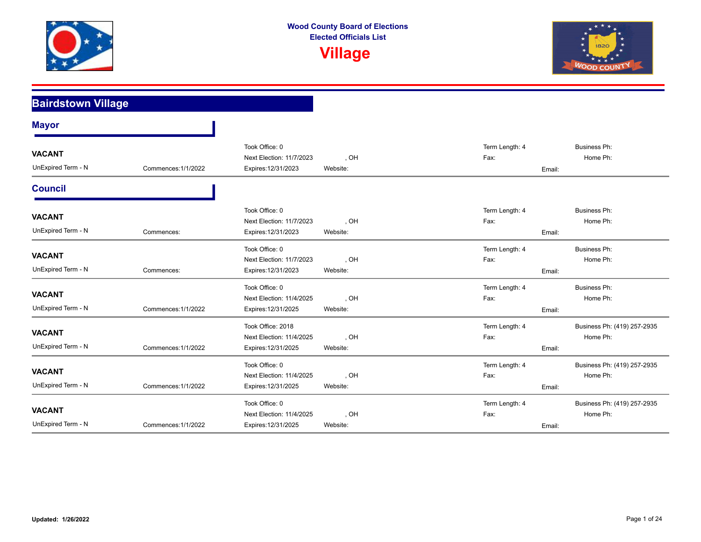



| <b>Bairdstown Village</b>           |                     |                                                                      |                  |                        |                                                   |
|-------------------------------------|---------------------|----------------------------------------------------------------------|------------------|------------------------|---------------------------------------------------|
| <b>Mayor</b>                        |                     |                                                                      |                  |                        |                                                   |
| <b>VACANT</b><br>UnExpired Term - N | Commences: 1/1/2022 | Took Office: 0<br>Next Election: 11/7/2023<br>Expires: 12/31/2023    | , OH<br>Website: | Term Length: 4<br>Fax: | <b>Business Ph:</b><br>Home Ph:<br>Email:         |
| <b>Council</b>                      |                     |                                                                      |                  |                        |                                                   |
| <b>VACANT</b><br>UnExpired Term - N | Commences:          | Took Office: 0<br>Next Election: 11/7/2023<br>Expires: 12/31/2023    | , OH<br>Website: | Term Length: 4<br>Fax: | <b>Business Ph:</b><br>Home Ph:<br>Email:         |
| <b>VACANT</b><br>UnExpired Term - N | Commences:          | Took Office: 0<br>Next Election: 11/7/2023<br>Expires: 12/31/2023    | , OH<br>Website: | Term Length: 4<br>Fax: | <b>Business Ph:</b><br>Home Ph:<br>Email:         |
| <b>VACANT</b><br>UnExpired Term - N | Commences: 1/1/2022 | Took Office: 0<br>Next Election: 11/4/2025<br>Expires: 12/31/2025    | , OH<br>Website: | Term Length: 4<br>Fax: | <b>Business Ph:</b><br>Home Ph:<br>Email:         |
| <b>VACANT</b><br>UnExpired Term - N | Commences: 1/1/2022 | Took Office: 2018<br>Next Election: 11/4/2025<br>Expires: 12/31/2025 | , OH<br>Website: | Term Length: 4<br>Fax: | Business Ph: (419) 257-2935<br>Home Ph:<br>Email: |
| <b>VACANT</b><br>UnExpired Term - N | Commences: 1/1/2022 | Took Office: 0<br>Next Election: 11/4/2025<br>Expires: 12/31/2025    | , OH<br>Website: | Term Length: 4<br>Fax: | Business Ph: (419) 257-2935<br>Home Ph:<br>Email: |
| <b>VACANT</b><br>UnExpired Term - N | Commences: 1/1/2022 | Took Office: 0<br>Next Election: 11/4/2025<br>Expires: 12/31/2025    | , OH<br>Website: | Term Length: 4<br>Fax: | Business Ph: (419) 257-2935<br>Home Ph:<br>Email: |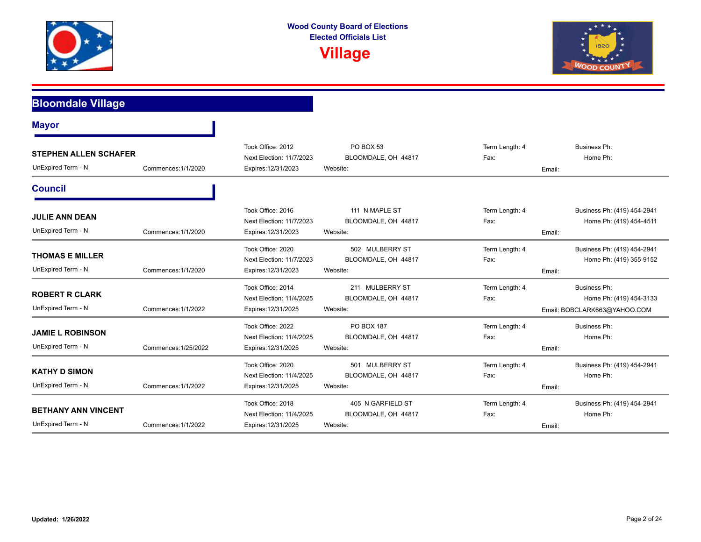



| <b>Bloomdale Village</b>                           |                      |                                                                      |                                                      |                                  |                                                                                |
|----------------------------------------------------|----------------------|----------------------------------------------------------------------|------------------------------------------------------|----------------------------------|--------------------------------------------------------------------------------|
| <b>Mayor</b>                                       |                      |                                                                      |                                                      |                                  |                                                                                |
| <b>STEPHEN ALLEN SCHAFER</b><br>UnExpired Term - N | Commences: 1/1/2020  | Took Office: 2012<br>Next Election: 11/7/2023<br>Expires: 12/31/2023 | PO BOX 53<br>BLOOMDALE, OH 44817<br>Website:         | Term Length: 4<br>Fax:<br>Email: | <b>Business Ph:</b><br>Home Ph:                                                |
| <b>Council</b>                                     |                      |                                                                      |                                                      |                                  |                                                                                |
| <b>JULIE ANN DEAN</b><br>UnExpired Term - N        | Commences: 1/1/2020  | Took Office: 2016<br>Next Election: 11/7/2023<br>Expires: 12/31/2023 | 111 N MAPLE ST<br>BLOOMDALE, OH 44817<br>Website:    | Term Length: 4<br>Fax:<br>Email: | Business Ph: (419) 454-2941<br>Home Ph: (419) 454-4511                         |
| <b>THOMAS E MILLER</b><br>UnExpired Term - N       | Commences: 1/1/2020  | Took Office: 2020<br>Next Election: 11/7/2023<br>Expires: 12/31/2023 | 502 MULBERRY ST<br>BLOOMDALE, OH 44817<br>Website:   | Term Length: 4<br>Fax:<br>Email: | Business Ph: (419) 454-2941<br>Home Ph: (419) 355-9152                         |
| <b>ROBERT R CLARK</b><br>UnExpired Term - N        | Commences: 1/1/2022  | Took Office: 2014<br>Next Election: 11/4/2025<br>Expires: 12/31/2025 | 211 MULBERRY ST<br>BLOOMDALE, OH 44817<br>Website:   | Term Length: 4<br>Fax:           | <b>Business Ph:</b><br>Home Ph: (419) 454-3133<br>Email: BOBCLARK663@YAHOO.COM |
| <b>JAMIE L ROBINSON</b><br>UnExpired Term - N      | Commences: 1/25/2022 | Took Office: 2022<br>Next Election: 11/4/2025<br>Expires: 12/31/2025 | PO BOX 187<br>BLOOMDALE, OH 44817<br>Website:        | Term Length: 4<br>Fax:<br>Email: | <b>Business Ph:</b><br>Home Ph:                                                |
| <b>KATHY D SIMON</b><br>UnExpired Term - N         | Commences: 1/1/2022  | Took Office: 2020<br>Next Election: 11/4/2025<br>Expires: 12/31/2025 | 501 MULBERRY ST<br>BLOOMDALE, OH 44817<br>Website:   | Term Length: 4<br>Fax:<br>Email: | Business Ph: (419) 454-2941<br>Home Ph:                                        |
| <b>BETHANY ANN VINCENT</b><br>UnExpired Term - N   | Commences: 1/1/2022  | Took Office: 2018<br>Next Election: 11/4/2025<br>Expires: 12/31/2025 | 405 N GARFIELD ST<br>BLOOMDALE, OH 44817<br>Website: | Term Length: 4<br>Fax:<br>Email: | Business Ph: (419) 454-2941<br>Home Ph:                                        |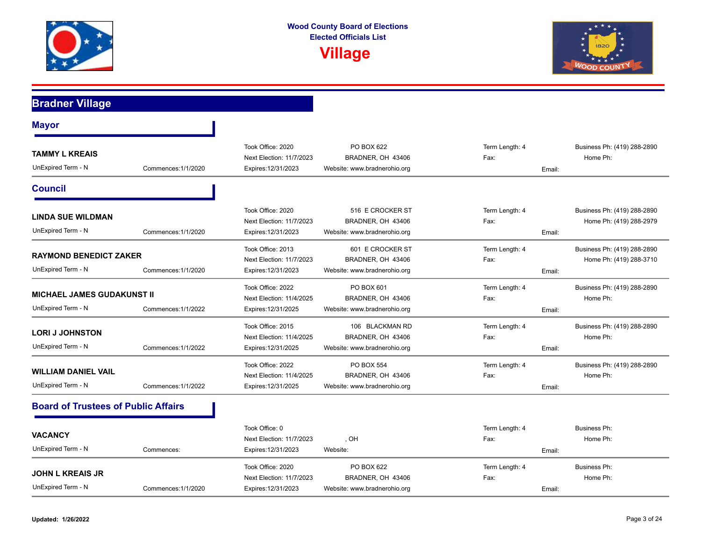



| <b>Bradner Village</b>                                  |                     |                                                                      |                                                                       |                                  |                                                        |
|---------------------------------------------------------|---------------------|----------------------------------------------------------------------|-----------------------------------------------------------------------|----------------------------------|--------------------------------------------------------|
| <b>Mayor</b>                                            |                     |                                                                      |                                                                       |                                  |                                                        |
| <b>TAMMY L KREAIS</b><br>UnExpired Term - N             | Commences: 1/1/2020 | Took Office: 2020<br>Next Election: 11/7/2023<br>Expires: 12/31/2023 | PO BOX 622<br>BRADNER, OH 43406<br>Website: www.bradnerohio.org       | Term Length: 4<br>Fax:<br>Email: | Business Ph: (419) 288-2890<br>Home Ph:                |
| <b>Council</b>                                          |                     |                                                                      |                                                                       |                                  |                                                        |
| <b>LINDA SUE WILDMAN</b><br>UnExpired Term - N          | Commences: 1/1/2020 | Took Office: 2020<br>Next Election: 11/7/2023<br>Expires: 12/31/2023 | 516 E CROCKER ST<br>BRADNER, OH 43406<br>Website: www.bradnerohio.org | Term Length: 4<br>Fax:<br>Email: | Business Ph: (419) 288-2890<br>Home Ph: (419) 288-2979 |
| <b>RAYMOND BENEDICT ZAKER</b><br>UnExpired Term - N     | Commences: 1/1/2020 | Took Office: 2013<br>Next Election: 11/7/2023<br>Expires: 12/31/2023 | 601 E CROCKER ST<br>BRADNER, OH 43406<br>Website: www.bradnerohio.org | Term Length: 4<br>Fax:<br>Email: | Business Ph: (419) 288-2890<br>Home Ph: (419) 288-3710 |
| <b>MICHAEL JAMES GUDAKUNST II</b><br>UnExpired Term - N | Commences: 1/1/2022 | Took Office: 2022<br>Next Election: 11/4/2025<br>Expires: 12/31/2025 | PO BOX 601<br>BRADNER, OH 43406<br>Website: www.bradnerohio.org       | Term Length: 4<br>Fax:<br>Email: | Business Ph: (419) 288-2890<br>Home Ph:                |
| <b>LORI J JOHNSTON</b><br>UnExpired Term - N            | Commences: 1/1/2022 | Took Office: 2015<br>Next Election: 11/4/2025<br>Expires: 12/31/2025 | 106 BLACKMAN RD<br>BRADNER, OH 43406<br>Website: www.bradnerohio.org  | Term Length: 4<br>Fax:<br>Email: | Business Ph: (419) 288-2890<br>Home Ph:                |
| <b>WILLIAM DANIEL VAIL</b><br>UnExpired Term - N        | Commences: 1/1/2022 | Took Office: 2022<br>Next Election: 11/4/2025<br>Expires: 12/31/2025 | PO BOX 554<br>BRADNER, OH 43406<br>Website: www.bradnerohio.org       | Term Length: 4<br>Fax:<br>Email: | Business Ph: (419) 288-2890<br>Home Ph:                |
| <b>Board of Trustees of Public Affairs</b>              |                     |                                                                      |                                                                       |                                  |                                                        |
| <b>VACANCY</b><br>UnExpired Term - N                    | Commences:          | Took Office: 0<br>Next Election: 11/7/2023<br>Expires: 12/31/2023    | , OH<br>Website:                                                      | Term Length: 4<br>Fax:<br>Email: | <b>Business Ph:</b><br>Home Ph:                        |
| JOHN L KREAIS JR<br>UnExpired Term - N                  | Commences: 1/1/2020 | Took Office: 2020<br>Next Election: 11/7/2023<br>Expires: 12/31/2023 | PO BOX 622<br>BRADNER, OH 43406<br>Website: www.bradnerohio.org       | Term Length: 4<br>Fax:<br>Email: | <b>Business Ph:</b><br>Home Ph:                        |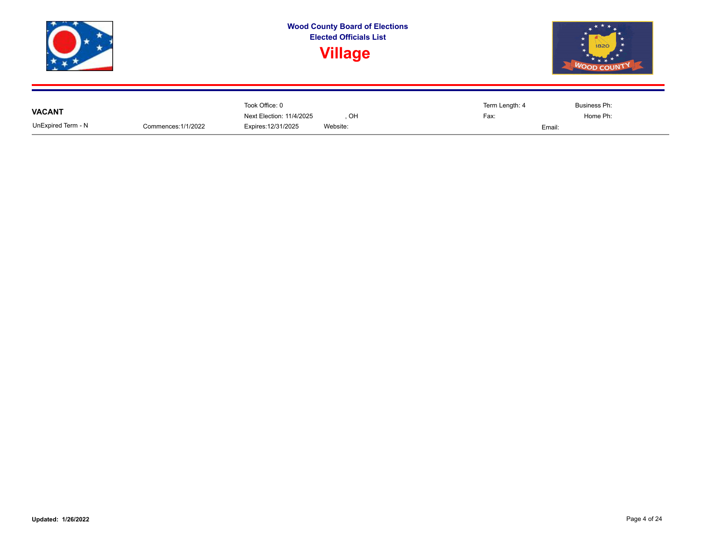

|                    |                     | Took Office: 0           |          | Term Length: 4 | Business Ph: |
|--------------------|---------------------|--------------------------|----------|----------------|--------------|
| <b>VACANT</b>      |                     | Next Election: 11/4/2025 | OH       | Fax:           | Home Ph:     |
| UnExpired Term - N | Commences: 1/1/2022 | Expires: 12/31/2025      | Website: | Email:         |              |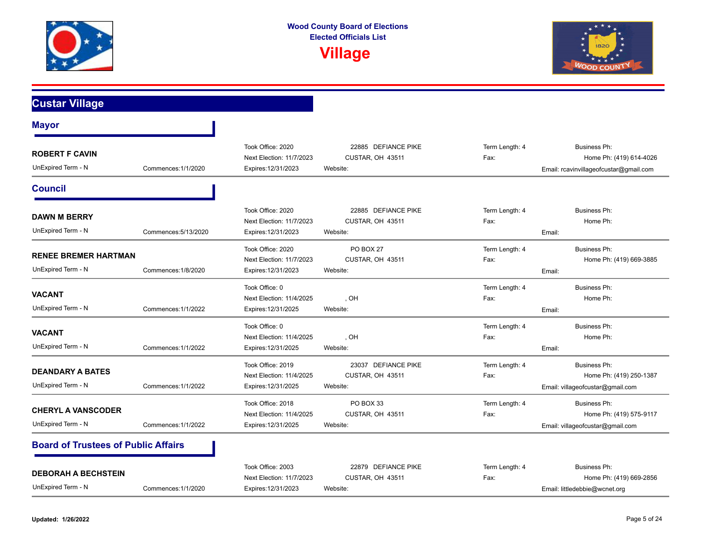



**Custar Village**

| <b>Mayor</b>                                      |                      |                                                                      |                                                     |                        |                                                                                    |
|---------------------------------------------------|----------------------|----------------------------------------------------------------------|-----------------------------------------------------|------------------------|------------------------------------------------------------------------------------|
| <b>ROBERT F CAVIN</b><br>UnExpired Term - N       | Commences: 1/1/2020  | Took Office: 2020<br>Next Election: 11/7/2023<br>Expires: 12/31/2023 | 22885 DEFIANCE PIKE<br>CUSTAR, OH 43511<br>Website: | Term Length: 4<br>Fax: | Business Ph:<br>Home Ph: (419) 614-4026<br>Email: rcavinvillageofcustar@gmail.com  |
| <b>Council</b>                                    |                      |                                                                      |                                                     |                        |                                                                                    |
| <b>DAWN M BERRY</b><br>UnExpired Term - N         | Commences: 5/13/2020 | Took Office: 2020<br>Next Election: 11/7/2023<br>Expires: 12/31/2023 | 22885 DEFIANCE PIKE<br>CUSTAR, OH 43511<br>Website: | Term Length: 4<br>Fax: | Business Ph:<br>Home Ph:<br>Email:                                                 |
| <b>RENEE BREMER HARTMAN</b><br>UnExpired Term - N | Commences: 1/8/2020  | Took Office: 2020<br>Next Election: 11/7/2023<br>Expires: 12/31/2023 | <b>PO BOX 27</b><br>CUSTAR, OH 43511<br>Website:    | Term Length: 4<br>Fax: | Business Ph:<br>Home Ph: (419) 669-3885<br>Email:                                  |
| <b>VACANT</b><br>UnExpired Term - N               | Commences: 1/1/2022  | Took Office: 0<br>Next Election: 11/4/2025<br>Expires: 12/31/2025    | . OH<br>Website:                                    | Term Length: 4<br>Fax: | Business Ph:<br>Home Ph:<br>Email:                                                 |
| <b>VACANT</b><br>UnExpired Term - N               | Commences: 1/1/2022  | Took Office: 0<br>Next Election: 11/4/2025<br>Expires: 12/31/2025    | , OH<br>Website:                                    | Term Length: 4<br>Fax: | Business Ph:<br>Home Ph:<br>Email:                                                 |
| <b>DEANDARY A BATES</b><br>UnExpired Term - N     | Commences: 1/1/2022  | Took Office: 2019<br>Next Election: 11/4/2025<br>Expires: 12/31/2025 | 23037 DEFIANCE PIKE<br>CUSTAR, OH 43511<br>Website: | Term Length: 4<br>Fax: | Business Ph:<br>Home Ph: (419) 250-1387<br>Email: villageofcustar@gmail.com        |
| <b>CHERYL A VANSCODER</b><br>UnExpired Term - N   | Commences: 1/1/2022  | Took Office: 2018<br>Next Election: 11/4/2025<br>Expires: 12/31/2025 | PO BOX 33<br>CUSTAR, OH 43511<br>Website:           | Term Length: 4<br>Fax: | <b>Business Ph:</b><br>Home Ph: (419) 575-9117<br>Email: villageofcustar@gmail.com |
| <b>Board of Trustees of Public Affairs</b>        |                      |                                                                      |                                                     |                        |                                                                                    |
| <b>DEBORAH A BECHSTEIN</b><br>UnExpired Term - N  | Commences: 1/1/2020  | Took Office: 2003<br>Next Election: 11/7/2023<br>Expires: 12/31/2023 | 22879 DEFIANCE PIKE<br>CUSTAR, OH 43511<br>Website: | Term Length: 4<br>Fax: | Business Ph:<br>Home Ph: (419) 669-2856<br>Email: littledebbie@wcnet.org           |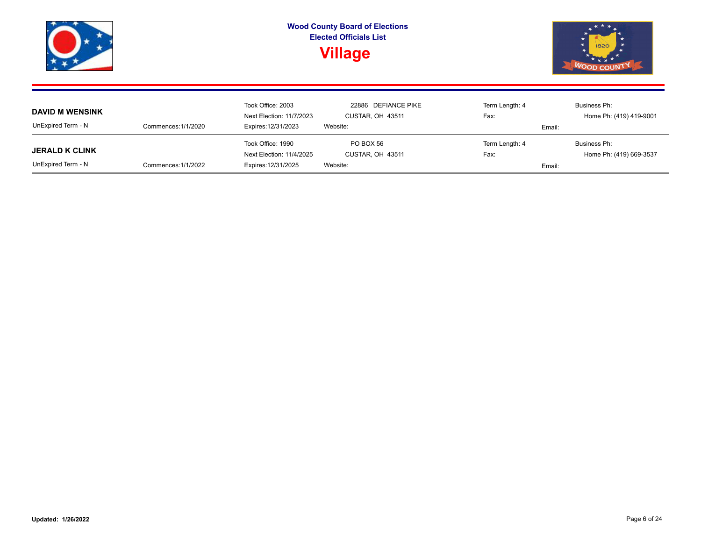|                        |                     |                          | <b>Wood County Board of Elections</b><br><b>Elected Officials List</b><br><b>Village</b> |                | 1820<br><b>WOOD COUNT</b> |  |  |
|------------------------|---------------------|--------------------------|------------------------------------------------------------------------------------------|----------------|---------------------------|--|--|
|                        |                     | Took Office: 2003        | 22886 DEFIANCE PIKE                                                                      | Term Length: 4 | Business Ph:              |  |  |
| <b>DAVID M WENSINK</b> |                     | Next Election: 11/7/2023 | CUSTAR, OH 43511                                                                         | Fax:           | Home Ph: (419) 419-9001   |  |  |
| UnExpired Term - N     | Commences: 1/1/2020 | Expires: 12/31/2023      | Website:                                                                                 | Email:         |                           |  |  |
|                        |                     | Took Office: 1990        | PO BOX 56                                                                                | Term Length: 4 | Business Ph:              |  |  |
| <b>JERALD K CLINK</b>  |                     | Next Election: 11/4/2025 | CUSTAR, OH 43511                                                                         | Fax:           | Home Ph: (419) 669-3537   |  |  |
| UnExpired Term - N     | Commences: 1/1/2022 | Expires: 12/31/2025      | Website:                                                                                 | Email:         |                           |  |  |

**Contract Contract Contract Contract**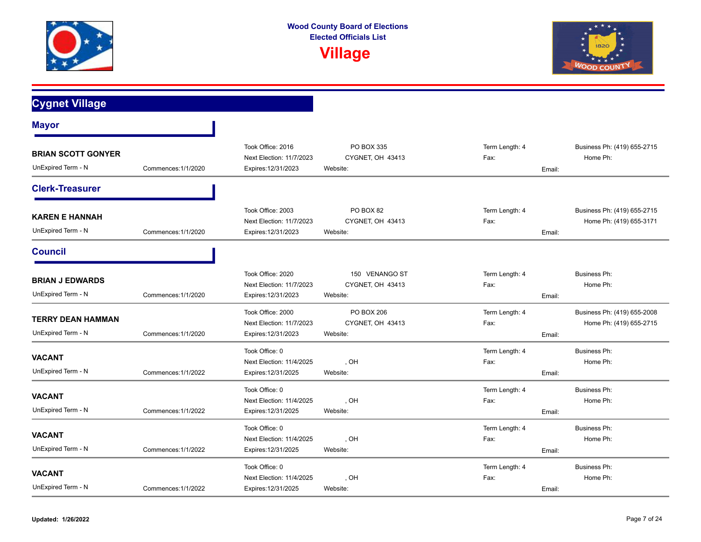



#### **Cygnet Village Mayor** UnExpired Term - N **BRIAN SCOTT GONYER**  Commences:1/1/2020 Next Election: 11/7/2023 CYGNET, OH 43413 Fax: Fax: Fax: Home Ph: Expires:12/31/2023 Website: Email: Took Office: 2016 **PO BOX 335** PO BOX 335 Term Length: 4 Business Ph: (419) 655-2715 **Clerk-Treasurer** UnExpired Term - N **KAREN E HANNAH**  Commences:1/1/2020 CYGNET, OH 43413 Expires:12/31/2023 Website: Email: Next Election: 11/7/2023 CYGNET, OH 43413 Fax: Fax: Home Ph: (419) 655-3171 Took Office: 2003 **PO BOX 82** PO BOX 82 Term Length: 4 Business Ph: (419) 655-2715 **Council** UnExpired Term - N **BRIAN J EDWARDS**  Commences:1/1/2020 CYGNET, OH 43413 Expires:12/31/2023 Website: Email: Next Election: 11/7/2023 CYGNET, OH 43413 Fax: Fax: Home Ph: Took Office: 2020 150 VENANGO ST Term Length: 4 Business Ph: UnExpired Term - N **TERRY DEAN HAMMAN**  Commences:1/1/2020 CYGNET, OH 43413 Expires:12/31/2023 Website: Email: Next Election: 11/7/2023 CYGNET, OH 43413 Fax: Fax: Home Ph: (419) 655-2715 Took Office: 2000 PO BOX 206 Term Length: 4 Business Ph: (419) 655-2008 UnExpired Term - N **VACANT**  Commences:1/1/2022 , OH Expires:12/31/2025 Website: Email: Next Election: 11/4/2025 (DH , OH , East Election: 11/4/2025 (Philosophe Philosophe Philosophe Philosophe Philosophe Philosophe Philosophe Philosophe Philosophe Philosophe Philosophe Philosophe Philosophe Philosophe Philos Took Office: 0 **Term Length: 4** Business Ph: UnExpired Term - N **VACANT**  Commences:1/1/2022 , OH Expires:12/31/2025 Website: Email: Next Election: 11/4/2025 (OH ) OH (DETERM) Fax: The Home Ph: Took Office: 0 **Term Length: 4** Business Ph: UnExpired Term - N **VACANT**  Commences:1/1/2022 , OH Expires:12/31/2025 Website: Email: Next Election: 11/4/2025 CH COH CONSERVERSIAN CHARGE ELECTION: Home Ph: Took Office: 0 **Term Length: 4** Business Ph: UnExpired Term - N **VACANT**  Commences:1/1/2022 , OH Next Election: 11/4/2025 CH COMPRESS COMPUTED CONTROL COMPRESS COMPRESS COMPRESS COMPRESS COMPRESS COMPRESS COMPRESS COMPRESS COMPRESS COMPRESS COMPRESS COMPRESS COMPRESS COMPRESS COMPRESS COMPRESS COMPRESS COMPRESS COMPRE Took Office: 0 Term Length: 4 Business Ph:

Expires:12/31/2025 Website: Email: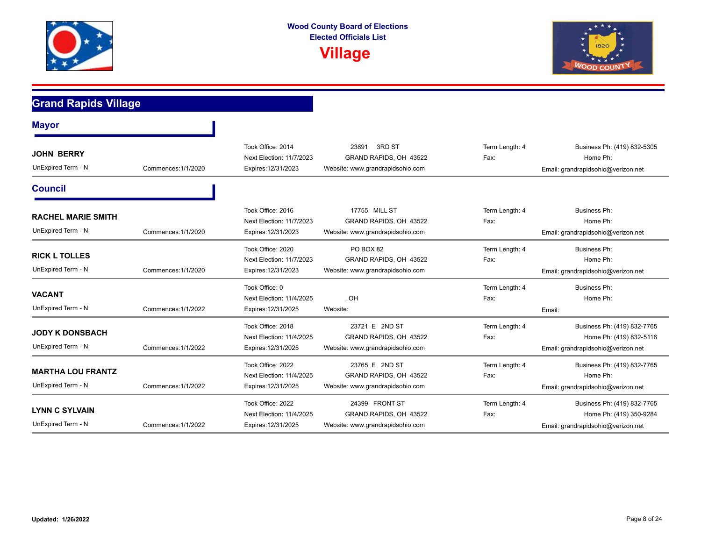



### **Grand Rapids Village Mayor** UnExpired Term - N **JOHN BERRY**  Commences:1/1/2020 Next Election: 11/7/2023 GRAND RAPIDS, OH 43522 Fax: Fax: Fax: Home Ph: Expires:12/31/2023 Website: www.grandrapidsohio.com Email: grandrapidsohio@verizon.net Took Office: 2014 23891 23891 28891 2RD ST 2008 2009 2014 2014 2014 2015 2016 2016 2016 2016 **Council** UnExpired Term - N **RACHEL MARIE SMITH**  Commences:1/1/2020 Next Election: 11/7/2023 GRAND RAPIDS, OH 43522 Fax: home Ph: Home Ph: Expires:12/31/2023 Website: www.grandrapidsohio.com Email: grandrapidsohio@verizon.net Took Office: 2016 17755 MILL ST Term Length: 4 Business Ph: UnExpired Term - N **RICK L TOLLES**  Commences:1/1/2020 Next Election: 11/7/2023 GRAND RAPIDS, OH 43522 Fax: Fax: Fax: Home Ph: Expires:12/31/2023 Website: www.grandrapidsohio.com Email: grandrapidsohio@verizon.net Took Office: 2020 **PO BOX 82** PO BOX 82 Term Length: 4 Business Ph: UnExpired Term - N **VACANT**  Commences:1/1/2022 , OH Expires:12/31/2025 Website: Email: Next Election: 11/4/2025 CH COMPUTE: CONFIDENTIAL CHARGE ELECTION: CONFIDENTIAL CHARGE ENCORE PHI: Took Office: 0 **Term Length: 4** Business Ph: UnExpired Term - N **JODY K DONSBACH**  Commences:1/1/2022 GRAND RAPIDS, OH 43522 Next Election: 11/4/2025 Fax: Home Ph: (419) 832-5116 Expires:12/31/2025 Website: www.grandrapidsohio.com Email: grandrapidsohio@verizon.net Took Office: 2018 23721 E 2ND ST Term Length: 4 Business Ph: (419) 832-7765 UnExpired Term - N **MARTHA LOU FRANTZ**  Commences:1/1/2022 Next Election: 11/4/2025 GRAND RAPIDS, OH 43522 Fax: Fax: Fax: Home Ph: Expires:12/31/2025 Website: www.grandrapidsohio.com Email: grandrapidsohio@verizon.net Took Office: 2022 23765 E 2ND ST Term Length: 4 Business Ph: (419) 832-7765 UnExpired Term - N **LYNN C SYLVAIN**  Commences:1/1/2022 GRAND RAPIDS, OH 43522 Next Election: 11/4/2025 Fax: Home Ph: (419) 350-9284 Expires:12/31/2025 Website: www.grandrapidsohio.com Email: grandrapidsohio@verizon.net Took Office: 2022 24399 FRONT ST Term Length: 4 Business Ph: (419) 832-7765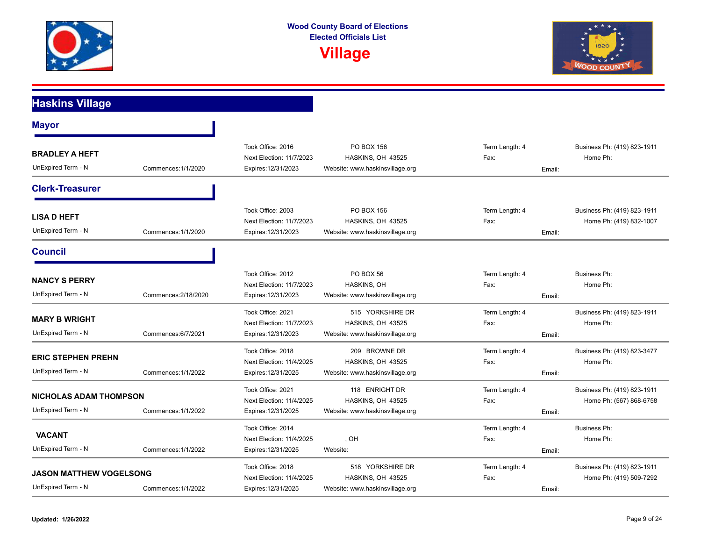



## **Haskins Village**

| <b>Mayor</b>                                                                |                      |                                                                      |                                                                          |                                  |                                                        |
|-----------------------------------------------------------------------------|----------------------|----------------------------------------------------------------------|--------------------------------------------------------------------------|----------------------------------|--------------------------------------------------------|
| <b>BRADLEY A HEFT</b><br>UnExpired Term - N                                 | Commences: 1/1/2020  | Took Office: 2016<br>Next Election: 11/7/2023<br>Expires: 12/31/2023 | PO BOX 156<br>HASKINS, OH 43525<br>Website: www.haskinsvillage.org       | Term Length: 4<br>Fax:<br>Email: | Business Ph: (419) 823-1911<br>Home Ph:                |
| <b>Clerk-Treasurer</b>                                                      |                      |                                                                      |                                                                          |                                  |                                                        |
| <b>LISA D HEFT</b><br>UnExpired Term - N                                    | Commences: 1/1/2020  | Took Office: 2003<br>Next Election: 11/7/2023<br>Expires: 12/31/2023 | PO BOX 156<br>HASKINS, OH 43525<br>Website: www.haskinsvillage.org       | Term Length: 4<br>Fax:<br>Email: | Business Ph: (419) 823-1911<br>Home Ph: (419) 832-1007 |
| <b>Council</b>                                                              |                      |                                                                      |                                                                          |                                  |                                                        |
| <b>NANCY S PERRY</b><br>UnExpired Term - N                                  | Commences: 2/18/2020 | Took Office: 2012<br>Next Election: 11/7/2023<br>Expires: 12/31/2023 | <b>PO BOX 56</b><br>HASKINS, OH<br>Website: www.haskinsvillage.org       | Term Length: 4<br>Fax:<br>Email: | Business Ph:<br>Home Ph:                               |
| <b>MARY B WRIGHT</b><br>UnExpired Term - N                                  | Commences: 6/7/2021  | Took Office: 2021<br>Next Election: 11/7/2023<br>Expires: 12/31/2023 | 515 YORKSHIRE DR<br>HASKINS, OH 43525<br>Website: www.haskinsvillage.org | Term Length: 4<br>Fax:<br>Email: | Business Ph: (419) 823-1911<br>Home Ph:                |
| <b>ERIC STEPHEN PREHN</b><br>UnExpired Term - N                             | Commences: 1/1/2022  | Took Office: 2018<br>Next Election: 11/4/2025<br>Expires: 12/31/2025 | 209 BROWNE DR<br>HASKINS, OH 43525<br>Website: www.haskinsvillage.org    | Term Length: 4<br>Fax:<br>Email: | Business Ph: (419) 823-3477<br>Home Ph:                |
| <b>NICHOLAS ADAM THOMPSON</b><br>UnExpired Term - N                         | Commences: 1/1/2022  | Took Office: 2021<br>Next Election: 11/4/2025<br>Expires: 12/31/2025 | 118 ENRIGHT DR<br>HASKINS, OH 43525<br>Website: www.haskinsvillage.org   | Term Length: 4<br>Fax:<br>Email: | Business Ph: (419) 823-1911<br>Home Ph: (567) 868-6758 |
| <b>VACANT</b><br>UnExpired Term - N                                         | Commences: 1/1/2022  | Took Office: 2014<br>Next Election: 11/4/2025<br>Expires: 12/31/2025 | , OH<br>Website:                                                         | Term Length: 4<br>Fax:<br>Email: | <b>Business Ph:</b><br>Home Ph:                        |
| <b>JASON MATTHEW VOGELSONG</b><br>UnExpired Term - N<br>Commences: 1/1/2022 |                      | Took Office: 2018<br>Next Election: 11/4/2025<br>Expires: 12/31/2025 | 518 YORKSHIRE DR<br>HASKINS, OH 43525<br>Website: www.haskinsvillage.org | Term Length: 4<br>Fax:<br>Email: | Business Ph: (419) 823-1911<br>Home Ph: (419) 509-7292 |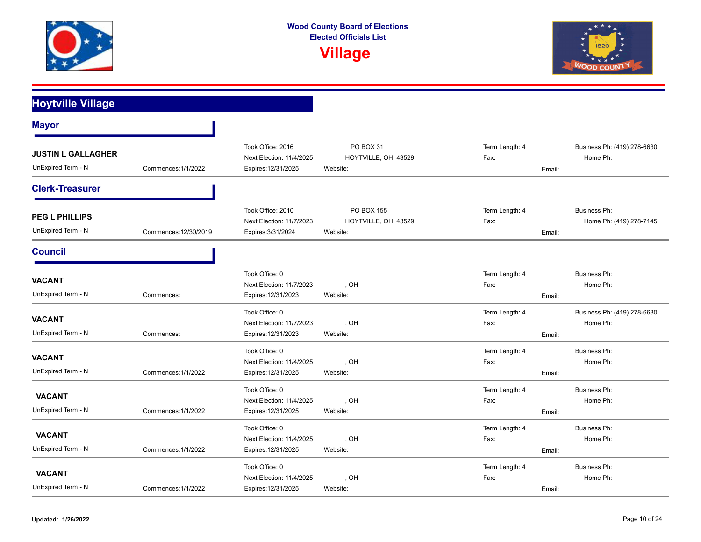

**Wood County Board of Elections Elected Officials List**

**Village**



## **Hoytville Village**

| <b>Mayor</b>                                    |                       |                                                                      |                                               |                                  |                                         |
|-------------------------------------------------|-----------------------|----------------------------------------------------------------------|-----------------------------------------------|----------------------------------|-----------------------------------------|
| <b>JUSTIN L GALLAGHER</b><br>UnExpired Term - N | Commences: 1/1/2022   | Took Office: 2016<br>Next Election: 11/4/2025<br>Expires: 12/31/2025 | PO BOX 31<br>HOYTVILLE, OH 43529<br>Website:  | Term Length: 4<br>Fax:<br>Email: | Business Ph: (419) 278-6630<br>Home Ph: |
| <b>Clerk-Treasurer</b>                          |                       |                                                                      |                                               |                                  |                                         |
| <b>PEG L PHILLIPS</b><br>UnExpired Term - N     | Commences: 12/30/2019 | Took Office: 2010<br>Next Election: 11/7/2023<br>Expires: 3/31/2024  | PO BOX 155<br>HOYTVILLE, OH 43529<br>Website: | Term Length: 4<br>Fax:<br>Email: | Business Ph:<br>Home Ph: (419) 278-7145 |
| <b>Council</b>                                  |                       |                                                                      |                                               |                                  |                                         |
| <b>VACANT</b><br>UnExpired Term - N             | Commences:            | Took Office: 0<br>Next Election: 11/7/2023<br>Expires: 12/31/2023    | , OH<br>Website:                              | Term Length: 4<br>Fax:<br>Email: | <b>Business Ph:</b><br>Home Ph:         |
| <b>VACANT</b><br>UnExpired Term - N             | Commences:            | Took Office: 0<br>Next Election: 11/7/2023<br>Expires: 12/31/2023    | , OH<br>Website:                              | Term Length: 4<br>Fax:<br>Email: | Business Ph: (419) 278-6630<br>Home Ph: |
| VACANT<br>UnExpired Term - N                    | Commences: 1/1/2022   | Took Office: 0<br>Next Election: 11/4/2025<br>Expires: 12/31/2025    | , OH<br>Website:                              | Term Length: 4<br>Fax:<br>Email: | <b>Business Ph:</b><br>Home Ph:         |
| <b>VACANT</b><br>UnExpired Term - N             | Commences: 1/1/2022   | Took Office: 0<br>Next Election: 11/4/2025<br>Expires: 12/31/2025    | , OH<br>Website:                              | Term Length: 4<br>Fax:<br>Email: | Business Ph:<br>Home Ph:                |
| <b>VACANT</b><br>UnExpired Term - N             | Commences: 1/1/2022   | Took Office: 0<br>Next Election: 11/4/2025<br>Expires: 12/31/2025    | , OH<br>Website:                              | Term Length: 4<br>Fax:<br>Email: | Business Ph:<br>Home Ph:                |
| <b>VACANT</b><br>UnExpired Term - N             | Commences: 1/1/2022   | Took Office: 0<br>Next Election: 11/4/2025<br>Expires: 12/31/2025    | , OH<br>Website:                              | Term Length: 4<br>Fax:<br>Email: | Business Ph:<br>Home Ph:                |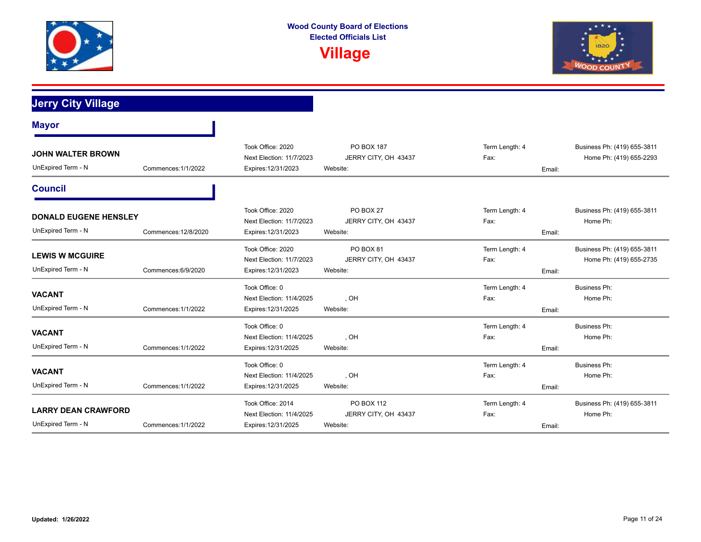



**Jerry City Village**

| <b>Mayor</b>                                       |                      |                                                                      |                                                      |                                  |                                                        |
|----------------------------------------------------|----------------------|----------------------------------------------------------------------|------------------------------------------------------|----------------------------------|--------------------------------------------------------|
| <b>JOHN WALTER BROWN</b><br>UnExpired Term - N     | Commences: 1/1/2022  | Took Office: 2020<br>Next Election: 11/7/2023<br>Expires: 12/31/2023 | PO BOX 187<br>JERRY CITY, OH 43437<br>Website:       | Term Length: 4<br>Fax:<br>Email: | Business Ph: (419) 655-3811<br>Home Ph: (419) 655-2293 |
| <b>Council</b>                                     |                      |                                                                      |                                                      |                                  |                                                        |
| <b>DONALD EUGENE HENSLEY</b><br>UnExpired Term - N | Commences: 12/8/2020 | Took Office: 2020<br>Next Election: 11/7/2023<br>Expires: 12/31/2023 | PO BOX 27<br>JERRY CITY, OH 43437<br>Website:        | Term Length: 4<br>Fax:<br>Email: | Business Ph: (419) 655-3811<br>Home Ph:                |
| <b>LEWIS W MCGUIRE</b><br>UnExpired Term - N       | Commences: 6/9/2020  | Took Office: 2020<br>Next Election: 11/7/2023<br>Expires: 12/31/2023 | <b>PO BOX 81</b><br>JERRY CITY, OH 43437<br>Website: | Term Length: 4<br>Fax:<br>Email: | Business Ph: (419) 655-3811<br>Home Ph: (419) 655-2735 |
| <b>VACANT</b><br>UnExpired Term - N                | Commences: 1/1/2022  | Took Office: 0<br>Next Election: 11/4/2025<br>Expires: 12/31/2025    | , OH<br>Website:                                     | Term Length: 4<br>Fax:<br>Email: | <b>Business Ph:</b><br>Home Ph:                        |
| <b>VACANT</b><br>UnExpired Term - N                | Commences: 1/1/2022  | Took Office: 0<br>Next Election: 11/4/2025<br>Expires: 12/31/2025    | , OH<br>Website:                                     | Term Length: 4<br>Fax:<br>Email: | <b>Business Ph:</b><br>Home Ph:                        |
| <b>VACANT</b><br>UnExpired Term - N                | Commences: 1/1/2022  | Took Office: 0<br>Next Election: 11/4/2025<br>Expires: 12/31/2025    | , OH<br>Website:                                     | Term Length: 4<br>Fax:<br>Email: | <b>Business Ph:</b><br>Home Ph:                        |
| <b>LARRY DEAN CRAWFORD</b><br>UnExpired Term - N   | Commences: 1/1/2022  | Took Office: 2014<br>Next Election: 11/4/2025<br>Expires: 12/31/2025 | PO BOX 112<br>JERRY CITY, OH 43437<br>Website:       | Term Length: 4<br>Fax:<br>Email: | Business Ph: (419) 655-3811<br>Home Ph:                |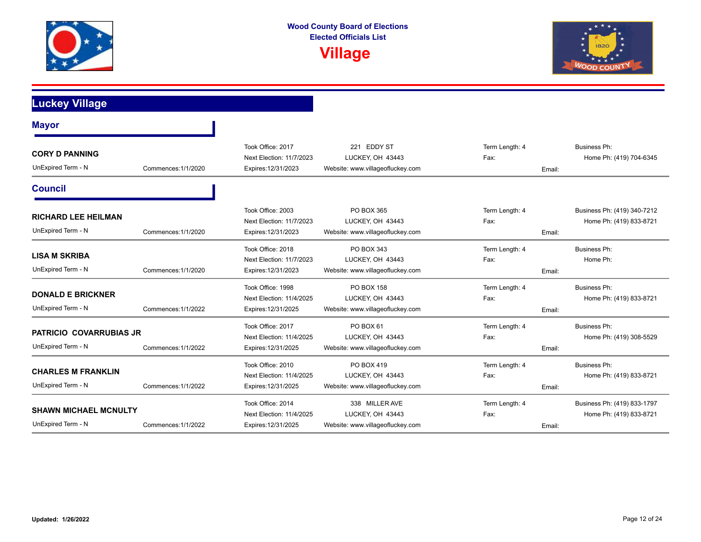



**Luckey Village**

| <b>Mayor</b>                                                              |                     |                                                                      |                                                                               |                                  |                                                        |
|---------------------------------------------------------------------------|---------------------|----------------------------------------------------------------------|-------------------------------------------------------------------------------|----------------------------------|--------------------------------------------------------|
| <b>CORY D PANNING</b><br>UnExpired Term - N                               | Commences: 1/1/2020 | Took Office: 2017<br>Next Election: 11/7/2023<br>Expires: 12/31/2023 | <b>EDDY ST</b><br>221<br>LUCKEY, OH 43443<br>Website: www.villageofluckey.com | Term Length: 4<br>Fax:<br>Email: | <b>Business Ph:</b><br>Home Ph: (419) 704-6345         |
| <b>Council</b>                                                            |                     |                                                                      |                                                                               |                                  |                                                        |
| <b>RICHARD LEE HEILMAN</b><br>UnExpired Term - N                          | Commences: 1/1/2020 | Took Office: 2003<br>Next Election: 11/7/2023<br>Expires: 12/31/2023 | PO BOX 365<br>LUCKEY, OH 43443<br>Website: www.villageofluckey.com            | Term Length: 4<br>Fax:<br>Email: | Business Ph: (419) 340-7212<br>Home Ph: (419) 833-8721 |
| <b>LISA M SKRIBA</b><br>UnExpired Term - N                                | Commences: 1/1/2020 | Took Office: 2018<br>Next Election: 11/7/2023<br>Expires: 12/31/2023 | PO BOX 343<br>LUCKEY, OH 43443<br>Website: www.villageofluckey.com            | Term Length: 4<br>Fax:<br>Email: | <b>Business Ph:</b><br>Home Ph:                        |
| <b>DONALD E BRICKNER</b><br>UnExpired Term - N                            | Commences: 1/1/2022 | Took Office: 1998<br>Next Election: 11/4/2025<br>Expires: 12/31/2025 | <b>PO BOX 158</b><br>LUCKEY, OH 43443<br>Website: www.villageofluckey.com     | Term Length: 4<br>Fax:<br>Email: | <b>Business Ph:</b><br>Home Ph: (419) 833-8721         |
| <b>PATRICIO COVARRUBIAS JR</b><br>UnExpired Term - N                      | Commences: 1/1/2022 | Took Office: 2017<br>Next Election: 11/4/2025<br>Expires: 12/31/2025 | PO BOX 61<br>LUCKEY, OH 43443<br>Website: www.villageofluckey.com             | Term Length: 4<br>Fax:<br>Email: | Business Ph:<br>Home Ph: (419) 308-5529                |
| <b>CHARLES M FRANKLIN</b><br>UnExpired Term - N                           | Commences: 1/1/2022 | Took Office: 2010<br>Next Election: 11/4/2025<br>Expires: 12/31/2025 | PO BOX 419<br>LUCKEY, OH 43443<br>Website: www.villageofluckey.com            | Term Length: 4<br>Fax:<br>Email: | <b>Business Ph:</b><br>Home Ph: (419) 833-8721         |
| <b>SHAWN MICHAEL MCNULTY</b><br>UnExpired Term - N<br>Commences: 1/1/2022 |                     | Took Office: 2014<br>Next Election: 11/4/2025<br>Expires: 12/31/2025 | 338 MILLER AVE<br>LUCKEY, OH 43443<br>Website: www.villageofluckey.com        | Term Length: 4<br>Fax:<br>Email: | Business Ph: (419) 833-1797<br>Home Ph: (419) 833-8721 |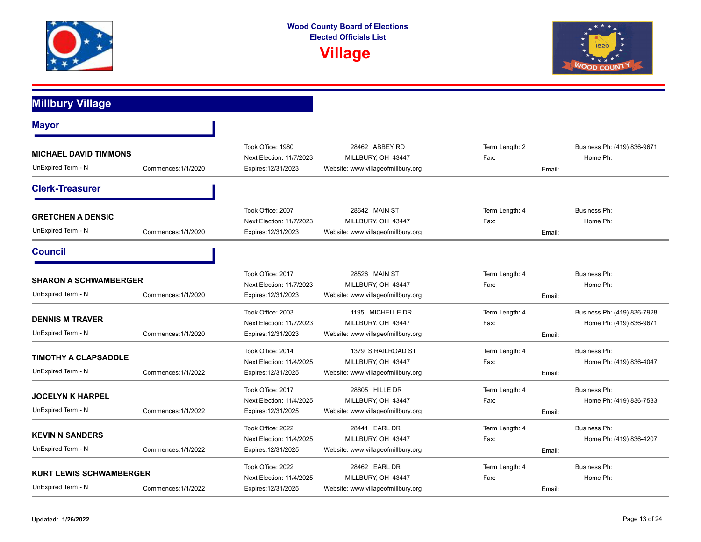



**Millbury Village**

| <b>Mayor</b>                                                              |                     |                                                                      |                                                                                |                                  |                                                        |
|---------------------------------------------------------------------------|---------------------|----------------------------------------------------------------------|--------------------------------------------------------------------------------|----------------------------------|--------------------------------------------------------|
| <b>MICHAEL DAVID TIMMONS</b><br>UnExpired Term - N                        | Commences: 1/1/2020 | Took Office: 1980<br>Next Election: 11/7/2023<br>Expires: 12/31/2023 | 28462 ABBEY RD<br>MILLBURY, OH 43447<br>Website: www.villageofmillbury.org     | Term Length: 2<br>Fax:<br>Email: | Business Ph: (419) 836-9671<br>Home Ph:                |
| <b>Clerk-Treasurer</b>                                                    |                     |                                                                      |                                                                                |                                  |                                                        |
| <b>GRETCHEN A DENSIC</b><br>UnExpired Term - N                            | Commences: 1/1/2020 | Took Office: 2007<br>Next Election: 11/7/2023<br>Expires: 12/31/2023 | 28642 MAIN ST<br>MILLBURY, OH 43447<br>Website: www.villageofmillbury.org      | Term Length: 4<br>Fax:<br>Email: | Business Ph:<br>Home Ph:                               |
| <b>Council</b>                                                            |                     |                                                                      |                                                                                |                                  |                                                        |
| <b>SHARON A SCHWAMBERGER</b><br>UnExpired Term - N<br>Commences: 1/1/2020 |                     | Took Office: 2017<br>Next Election: 11/7/2023<br>Expires: 12/31/2023 | 28526 MAIN ST<br>MILLBURY, OH 43447<br>Website: www.villageofmillbury.org      | Term Length: 4<br>Fax:<br>Email: | Business Ph:<br>Home Ph:                               |
| <b>DENNIS M TRAVER</b><br>UnExpired Term - N                              | Commences: 1/1/2020 | Took Office: 2003<br>Next Election: 11/7/2023<br>Expires: 12/31/2023 | 1195 MICHELLE DR<br>MILLBURY, OH 43447<br>Website: www.villageofmillbury.org   | Term Length: 4<br>Fax:<br>Email: | Business Ph: (419) 836-7928<br>Home Ph: (419) 836-9671 |
| <b>TIMOTHY A CLAPSADDLE</b><br>UnExpired Term - N                         | Commences: 1/1/2022 | Took Office: 2014<br>Next Election: 11/4/2025<br>Expires: 12/31/2025 | 1379 S RAILROAD ST<br>MILLBURY, OH 43447<br>Website: www.villageofmillbury.org | Term Length: 4<br>Fax:<br>Email: | Business Ph:<br>Home Ph: (419) 836-4047                |
| <b>JOCELYN K HARPEL</b><br>UnExpired Term - N                             | Commences: 1/1/2022 | Took Office: 2017<br>Next Election: 11/4/2025<br>Expires: 12/31/2025 | 28605 HILLE DR<br>MILLBURY, OH 43447<br>Website: www.villageofmillbury.org     | Term Length: 4<br>Fax:<br>Email: | Business Ph:<br>Home Ph: (419) 836-7533                |
| <b>KEVIN N SANDERS</b><br>UnExpired Term - N                              | Commences: 1/1/2022 | Took Office: 2022<br>Next Election: 11/4/2025<br>Expires: 12/31/2025 | 28441 EARL DR<br>MILLBURY, OH 43447<br>Website: www.villageofmillbury.org      | Term Length: 4<br>Fax:<br>Email: | Business Ph:<br>Home Ph: (419) 836-4207                |
| <b>KURT LEWIS SCHWAMBERGER</b><br>UnExpired Term - N                      | Commences: 1/1/2022 | Took Office: 2022<br>Next Election: 11/4/2025<br>Expires: 12/31/2025 | 28462 EARL DR<br>MILLBURY, OH 43447<br>Website: www.villageofmillbury.org      | Term Length: 4<br>Fax:<br>Email: | <b>Business Ph:</b><br>Home Ph:                        |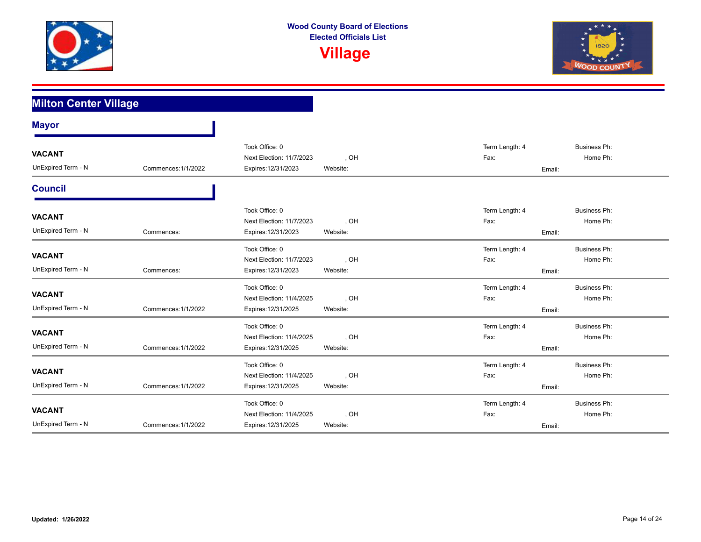



| <b>Milton Center Village</b>        |                     |                                                                   |                  |                        |                                           |  |
|-------------------------------------|---------------------|-------------------------------------------------------------------|------------------|------------------------|-------------------------------------------|--|
| <b>Mayor</b>                        |                     |                                                                   |                  |                        |                                           |  |
| <b>VACANT</b><br>UnExpired Term - N | Commences: 1/1/2022 | Took Office: 0<br>Next Election: 11/7/2023<br>Expires: 12/31/2023 | , OH<br>Website: | Term Length: 4<br>Fax: | <b>Business Ph:</b><br>Home Ph:<br>Email: |  |
| <b>Council</b>                      |                     |                                                                   |                  |                        |                                           |  |
| <b>VACANT</b><br>UnExpired Term - N | Commences:          | Took Office: 0<br>Next Election: 11/7/2023<br>Expires: 12/31/2023 | , OH<br>Website: | Term Length: 4<br>Fax: | <b>Business Ph:</b><br>Home Ph:<br>Email: |  |
| <b>VACANT</b><br>UnExpired Term - N | Commences:          | Took Office: 0<br>Next Election: 11/7/2023<br>Expires: 12/31/2023 | , OH<br>Website: | Term Length: 4<br>Fax: | <b>Business Ph:</b><br>Home Ph:<br>Email: |  |
| <b>VACANT</b><br>UnExpired Term - N | Commences: 1/1/2022 | Took Office: 0<br>Next Election: 11/4/2025<br>Expires: 12/31/2025 | , OH<br>Website: | Term Length: 4<br>Fax: | <b>Business Ph:</b><br>Home Ph:<br>Email: |  |
| <b>VACANT</b><br>UnExpired Term - N | Commences: 1/1/2022 | Took Office: 0<br>Next Election: 11/4/2025<br>Expires: 12/31/2025 | , OH<br>Website: | Term Length: 4<br>Fax: | <b>Business Ph:</b><br>Home Ph:<br>Email: |  |
| <b>VACANT</b><br>UnExpired Term - N | Commences: 1/1/2022 | Took Office: 0<br>Next Election: 11/4/2025<br>Expires: 12/31/2025 | , OH<br>Website: | Term Length: 4<br>Fax: | Business Ph:<br>Home Ph:<br>Email:        |  |
| <b>VACANT</b><br>UnExpired Term - N | Commences: 1/1/2022 | Took Office: 0<br>Next Election: 11/4/2025<br>Expires: 12/31/2025 | , OH<br>Website: | Term Length: 4<br>Fax: | <b>Business Ph:</b><br>Home Ph:<br>Email: |  |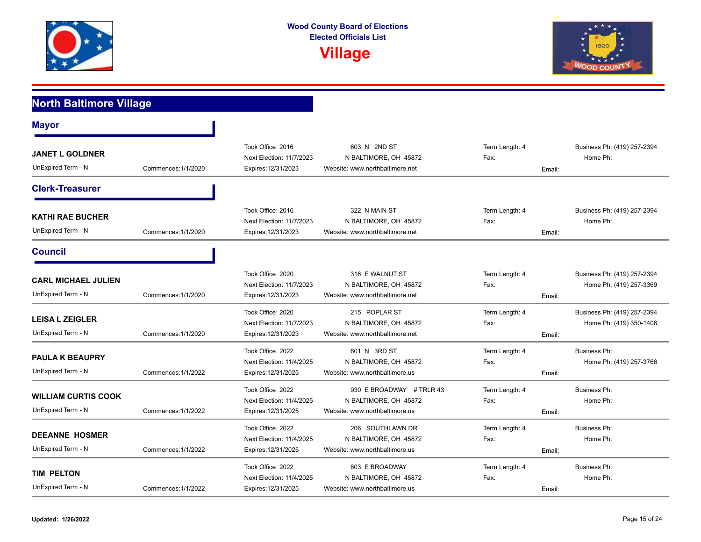



### **North Baltimore Village Mayor** UnExpired Term - N **JANET L GOLDNER**  Commences:1/1/2020 Next Election: 11/7/2023 NBALTIMORE, OH 45872 Fax: Fax: Fax: Home Ph: Expires:12/31/2023 Website: www.northbaltimore.net Email: Took Office: 2016 603 N 2ND ST Term Length: 4 Business Ph: (419) 257-2394 **Clerk-Treasurer** UnExpired Term - N **KATHI RAE BUCHER**  Commences:1/1/2020 Next Election: 11/7/2023 NBALTIMORE, OH 45872 Fax: Fax: Fax: Home Ph: Expires:12/31/2023 Website: www.northbaltimore.net Email: Took Office: 2016 322 N MAIN ST Term Length: 4 Business Ph: (419) 257-2394 **Council** UnExpired Term - N **CARL MICHAEL JULIEN**  Commences:1/1/2020 N BALTIMORE, OH 45872 Next Election: 11/7/2023 Fax: Home Ph: (419) 257-3369 Expires:12/31/2023 Website: www.northbaltimore.net Email: Took Office: 2020 316 E WALNUT ST Term Length: 4 Business Ph: (419) 257-2394 UnExpired Term - N **LEISA L ZEIGLER**  Commences:1/1/2020 N BALTIMORE, OH 45872 Expires:12/31/2023 Website: www.northbaltimore.net Email: Next Election: 11/7/2023 NBALTIMORE, OH 45872 Fax: Fax: Home Ph: (419) 350-1406 Took Office: 2020 215 POPLAR ST Term Length: 4 Business Ph: (419) 257-2394 UnExpired Term - N **PAULA K BEAUPRY**  Commences:1/1/2022 N BALTIMORE, OH 45872 Next Election: 11/4/2025 Fax: Home Ph: (419) 257-3766 Expires:12/31/2025 Website: www.northbaltimore.us Email: Took Office: 2022 601 N 3RD ST Term Length: 4 Business Ph: UnExpired Term - N **WILLIAM CURTIS COOK**  Commences:1/1/2022 Next Election: 11/4/2025 NBALTIMORE, OH 45872 Fax: Fax: Fax: Home Ph: Expires:12/31/2025 Website: www.northbaltimore.us Email: Took Office: 2022 930 E BROADWAY # TRLR 43 Term Length: 4 Business Ph: UnExpired Term - N **DEEANNE HOSMER**  Commences:1/1/2022 Next Election: 11/4/2025 NBALTIMORE, OH 45872 Fax: Fax: Fax: Home Ph: Expires:12/31/2025 Website: www.northbaltimore.us Email: Took Office: 2022 206 SOUTHLAWN DR Term Length: 4 Business Ph: UnExpired Term - N **TIM PELTON**  Commences:1/1/2022 Next Election: 11/4/2025 NBALTIMORE, OH 45872 Fax: Fax: Fax: Home Ph: Expires:12/31/2025 Website: www.northbaltimore.us Email: Took Office: 2022 **803 E BROADWAY** Term Length: 4 Business Ph: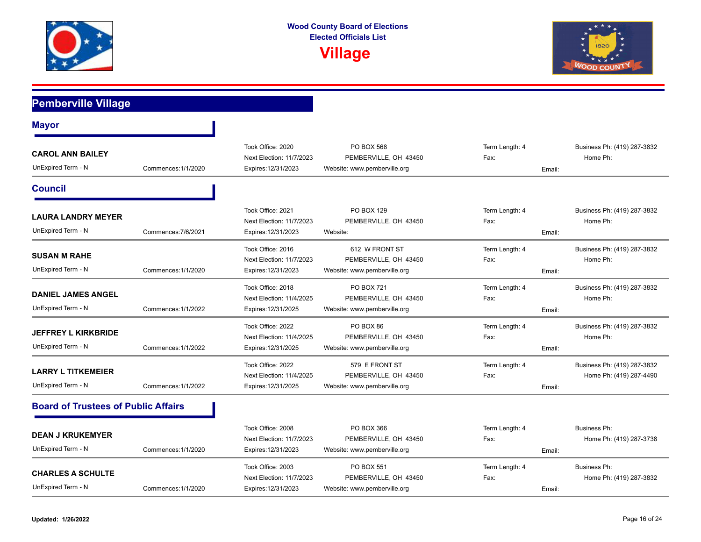



| <b>Pemberville Village</b>                       |                     |                                                                      |                                                                            |                                  |                                                        |
|--------------------------------------------------|---------------------|----------------------------------------------------------------------|----------------------------------------------------------------------------|----------------------------------|--------------------------------------------------------|
| <b>Mayor</b>                                     |                     |                                                                      |                                                                            |                                  |                                                        |
| <b>CAROL ANN BAILEY</b><br>UnExpired Term - N    | Commences: 1/1/2020 | Took Office: 2020<br>Next Election: 11/7/2023<br>Expires: 12/31/2023 | <b>PO BOX 568</b><br>PEMBERVILLE, OH 43450<br>Website: www.pemberville.org | Term Length: 4<br>Fax:<br>Email: | Business Ph: (419) 287-3832<br>Home Ph:                |
| <b>Council</b>                                   |                     |                                                                      |                                                                            |                                  |                                                        |
| <b>LAURA LANDRY MEYER</b><br>UnExpired Term - N  | Commences: 7/6/2021 | Took Office: 2021<br>Next Election: 11/7/2023<br>Expires: 12/31/2023 | PO BOX 129<br>PEMBERVILLE, OH 43450<br>Website:                            | Term Length: 4<br>Fax:<br>Email: | Business Ph: (419) 287-3832<br>Home Ph:                |
| <b>SUSAN M RAHE</b><br>UnExpired Term - N        | Commences: 1/1/2020 | Took Office: 2016<br>Next Election: 11/7/2023<br>Expires: 12/31/2023 | 612 W FRONT ST<br>PEMBERVILLE, OH 43450<br>Website: www.pemberville.org    | Term Length: 4<br>Fax:<br>Email: | Business Ph: (419) 287-3832<br>Home Ph:                |
| <b>DANIEL JAMES ANGEL</b><br>UnExpired Term - N  | Commences: 1/1/2022 | Took Office: 2018<br>Next Election: 11/4/2025<br>Expires: 12/31/2025 | <b>PO BOX 721</b><br>PEMBERVILLE, OH 43450<br>Website: www.pemberville.org | Term Length: 4<br>Fax:<br>Email: | Business Ph: (419) 287-3832<br>Home Ph:                |
| <b>JEFFREY L KIRKBRIDE</b><br>UnExpired Term - N | Commences: 1/1/2022 | Took Office: 2022<br>Next Election: 11/4/2025<br>Expires: 12/31/2025 | PO BOX 86<br>PEMBERVILLE, OH 43450<br>Website: www.pemberville.org         | Term Length: 4<br>Fax:<br>Email: | Business Ph: (419) 287-3832<br>Home Ph:                |
| <b>LARRY L TITKEMEIER</b><br>UnExpired Term - N  | Commences: 1/1/2022 | Took Office: 2022<br>Next Election: 11/4/2025<br>Expires: 12/31/2025 | 579 E FRONT ST<br>PEMBERVILLE, OH 43450<br>Website: www.pemberville.org    | Term Length: 4<br>Fax:<br>Email: | Business Ph: (419) 287-3832<br>Home Ph: (419) 287-4490 |
| <b>Board of Trustees of Public Affairs</b>       |                     |                                                                      |                                                                            |                                  |                                                        |
| <b>DEAN J KRUKEMYER</b><br>UnExpired Term - N    | Commences: 1/1/2020 | Took Office: 2008<br>Next Election: 11/7/2023<br>Expires: 12/31/2023 | PO BOX 366<br>PEMBERVILLE, OH 43450<br>Website: www.pemberville.org        | Term Length: 4<br>Fax:<br>Email: | <b>Business Ph:</b><br>Home Ph: (419) 287-3738         |
| <b>CHARLES A SCHULTE</b><br>UnExpired Term - N   | Commences: 1/1/2020 | Took Office: 2003<br>Next Election: 11/7/2023<br>Expires: 12/31/2023 | PO BOX 551<br>PEMBERVILLE, OH 43450<br>Website: www.pemberville.org        | Term Length: 4<br>Fax:<br>Email: | <b>Business Ph:</b><br>Home Ph: (419) 287-3832         |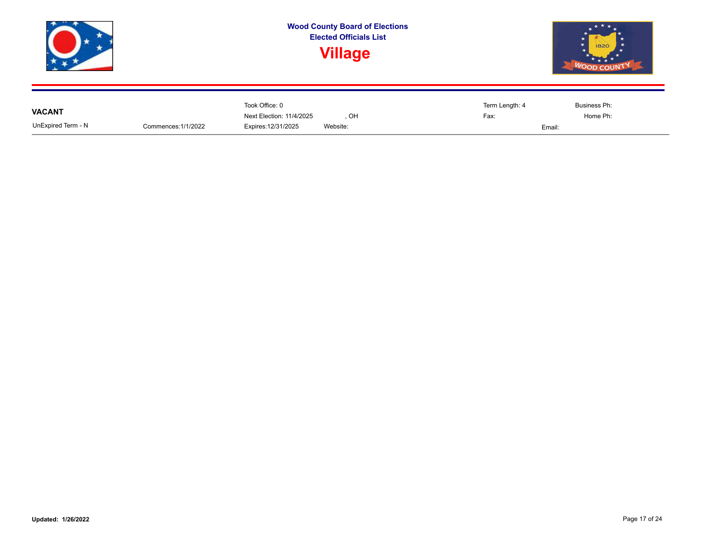

|                    |                     | Took Office: 0           |          | Term Length: 4 | Business Ph: |
|--------------------|---------------------|--------------------------|----------|----------------|--------------|
| <b>VACANT</b>      |                     | Next Election: 11/4/2025 | OH       | Fax:           | Home Ph:     |
| UnExpired Term - N | Commences: 1/1/2022 | Expires: 12/31/2025      | Website: | Email:         |              |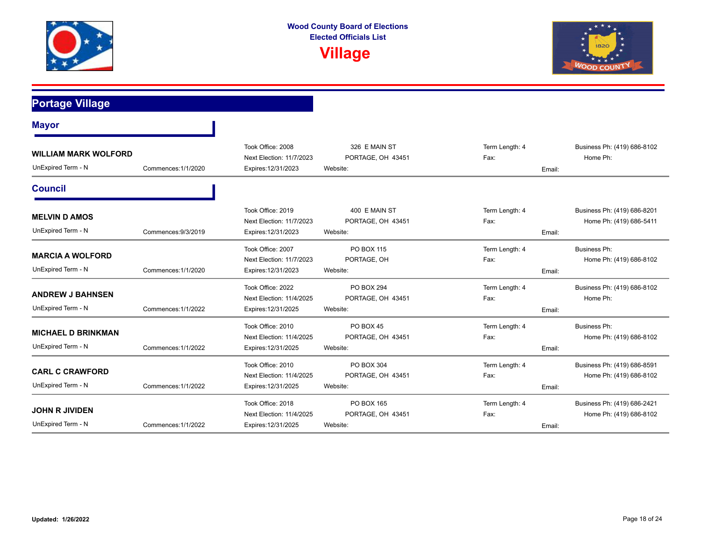



**Portage Village**

| <b>Mayor</b>                                      |                     |                                                                      |                                                |                                  |                                                        |
|---------------------------------------------------|---------------------|----------------------------------------------------------------------|------------------------------------------------|----------------------------------|--------------------------------------------------------|
| <b>WILLIAM MARK WOLFORD</b><br>UnExpired Term - N | Commences: 1/1/2020 | Took Office: 2008<br>Next Election: 11/7/2023<br>Expires: 12/31/2023 | 326 E MAIN ST<br>PORTAGE, OH 43451<br>Website: | Term Length: 4<br>Fax:<br>Email: | Business Ph: (419) 686-8102<br>Home Ph:                |
| <b>Council</b>                                    |                     |                                                                      |                                                |                                  |                                                        |
| <b>MELVIN D AMOS</b><br>UnExpired Term - N        | Commences: 9/3/2019 | Took Office: 2019<br>Next Election: 11/7/2023<br>Expires: 12/31/2023 | 400 E MAIN ST<br>PORTAGE, OH 43451<br>Website: | Term Length: 4<br>Fax:<br>Email: | Business Ph: (419) 686-8201<br>Home Ph: (419) 686-5411 |
| <b>MARCIA A WOLFORD</b><br>UnExpired Term - N     | Commences: 1/1/2020 | Took Office: 2007<br>Next Election: 11/7/2023<br>Expires: 12/31/2023 | PO BOX 115<br>PORTAGE, OH<br>Website:          | Term Length: 4<br>Fax:<br>Email: | <b>Business Ph:</b><br>Home Ph: (419) 686-8102         |
| <b>ANDREW J BAHNSEN</b><br>UnExpired Term - N     | Commences: 1/1/2022 | Took Office: 2022<br>Next Election: 11/4/2025<br>Expires: 12/31/2025 | PO BOX 294<br>PORTAGE, OH 43451<br>Website:    | Term Length: 4<br>Fax:<br>Email: | Business Ph: (419) 686-8102<br>Home Ph:                |
| <b>MICHAEL D BRINKMAN</b><br>UnExpired Term - N   | Commences: 1/1/2022 | Took Office: 2010<br>Next Election: 11/4/2025<br>Expires: 12/31/2025 | PO BOX 45<br>PORTAGE, OH 43451<br>Website:     | Term Length: 4<br>Fax:<br>Email: | <b>Business Ph:</b><br>Home Ph: (419) 686-8102         |
| <b>CARL C CRAWFORD</b><br>UnExpired Term - N      | Commences: 1/1/2022 | Took Office: 2010<br>Next Election: 11/4/2025<br>Expires: 12/31/2025 | PO BOX 304<br>PORTAGE, OH 43451<br>Website:    | Term Length: 4<br>Fax:<br>Email: | Business Ph: (419) 686-8591<br>Home Ph: (419) 686-8102 |
| <b>JOHN R JIVIDEN</b><br>UnExpired Term - N       | Commences: 1/1/2022 | Took Office: 2018<br>Next Election: 11/4/2025<br>Expires: 12/31/2025 | PO BOX 165<br>PORTAGE, OH 43451<br>Website:    | Term Length: 4<br>Fax:<br>Email: | Business Ph: (419) 686-2421<br>Home Ph: (419) 686-8102 |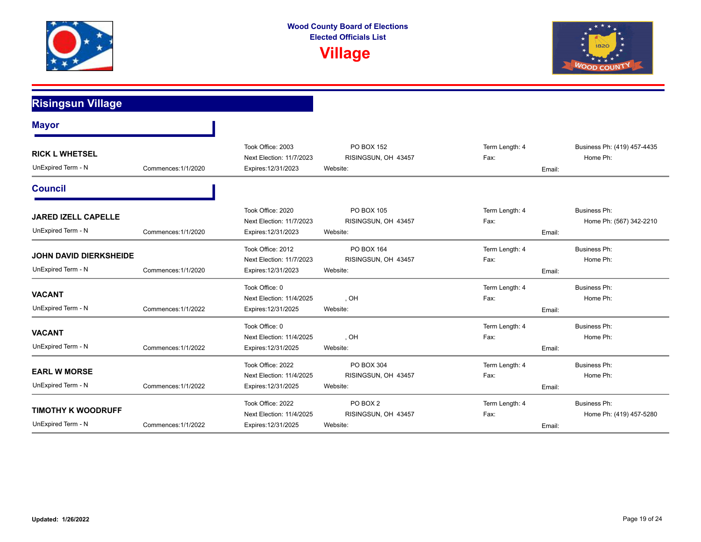



#### **Risingsun Village Mayor** UnExpired Term - N **RICK L WHETSEL**  Commences:1/1/2020 Next Election: 11/7/2023 RISINGSUN, OH 43457 Fax: Fax: Fax: Home Ph: Expires:12/31/2023 Website: Email: Took Office: 2003 PO BOX 152 PO BOX 152 Term Length: 4 Business Ph: (419) 457-4435 **Council** UnExpired Term - N **JARED IZELL CAPELLE**  Commences:1/1/2020 RISINGSUN, OH 43457 Expires:12/31/2023 Website: Email: Next Election: 11/7/2023 RISINGSUN, OH 43457 Fax: Fax: Home Ph: (567) 342-2210 Took Office: 2020 **PO BOX 105** PO **BOX 105** Term Length: 4 Business Ph: UnExpired Term - N **JOHN DAVID DIERKSHEIDE**  Commences:1/1/2020 Next Election: 11/7/2023 RISINGSUN, OH 43457 Fax: Fax: Fax: Home Ph: Expires:12/31/2023 Website: Email: Took Office: 2012 **PO BOX 164** PO BOX 164 Term Length: 4 Business Ph: UnExpired Term - N **VACANT**  Commences:1/1/2022 , OH Expires:12/31/2025 Website: Email: Next Election: 11/4/2025 (OH ) OH (DETERM) Fax: The Home Ph: Took Office: 0 **Term Length: 4** Business Ph: UnExpired Term - N **VACANT**  Commences:1/1/2022 , OH Expires:12/31/2025 Website: Email: Next Election: 11/4/2025 CH COMPRESS COMPUTED CONTROL COMPRESS COMPRESS COMPRESS COMPRESS COMPRESS COMPRESS COMPRESS COMPRESS COMPRESS COMPRESS COMPRESS COMPRESS COMPRESS COMPRESS COMPRESS COMPRESS COMPRESS COMPRESS COMPRE Took Office: 0 Term Length: 4 Business Ph: UnExpired Term - N **EARL W MORSE**  Commences:1/1/2022 Next Election: 11/4/2025 RISINGSUN, OH 43457 Fax: Fax: Fax: Home Ph: Expires:12/31/2025 Website: Email: Took Office: 2022 **PO BOX 304** PO **PO BOX 304** Term Length: 4 Business Ph: UnExpired Term - N **TIMOTHY K WOODRUFF**  Commences:1/1/2022 RISINGSUN, OH 43457 Expires:12/31/2025 Website: Email: Next Election: 11/4/2025 RISINGSUN, OH 43457 Fax: Fax: Home Ph: (419) 457-5280 Took Office: 2022 **PO BOX 2** PO BOX 2 Term Length: 4 Business Ph: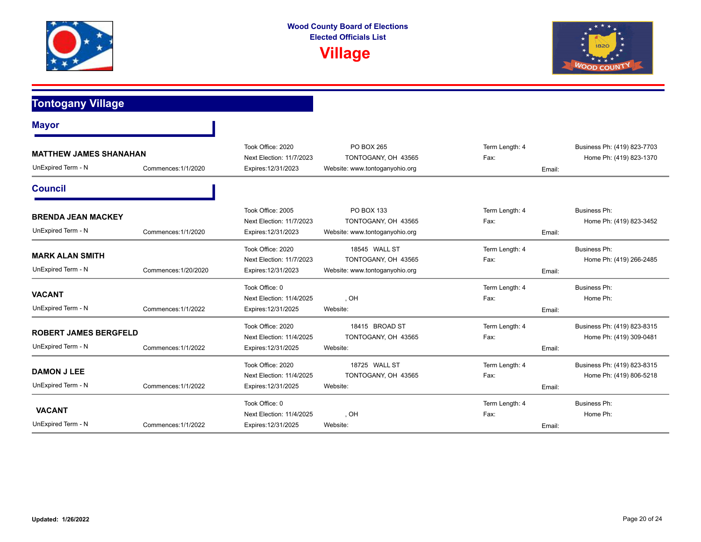



**Tontogany Village**

| <b>Mayor</b>                                                               |                      |                                                                      |                                                                        |                                  |                                                        |
|----------------------------------------------------------------------------|----------------------|----------------------------------------------------------------------|------------------------------------------------------------------------|----------------------------------|--------------------------------------------------------|
| <b>MATTHEW JAMES SHANAHAN</b><br>UnExpired Term - N<br>Commences: 1/1/2020 |                      | Took Office: 2020<br>Next Election: 11/7/2023<br>Expires: 12/31/2023 | PO BOX 265<br>TONTOGANY, OH 43565<br>Website: www.tontoganyohio.org    | Term Length: 4<br>Fax:<br>Email: | Business Ph: (419) 823-7703<br>Home Ph: (419) 823-1370 |
| <b>Council</b>                                                             |                      |                                                                      |                                                                        |                                  |                                                        |
| <b>BRENDA JEAN MACKEY</b><br>UnExpired Term - N                            | Commences: 1/1/2020  | Took Office: 2005<br>Next Election: 11/7/2023<br>Expires: 12/31/2023 | PO BOX 133<br>TONTOGANY, OH 43565<br>Website: www.tontoganyohio.org    | Term Length: 4<br>Fax:<br>Email: | Business Ph:<br>Home Ph: (419) 823-3452                |
| <b>MARK ALAN SMITH</b><br>UnExpired Term - N                               | Commences: 1/20/2020 | Took Office: 2020<br>Next Election: 11/7/2023<br>Expires: 12/31/2023 | 18545 WALL ST<br>TONTOGANY, OH 43565<br>Website: www.tontoganyohio.org | Term Length: 4<br>Fax:<br>Email: | <b>Business Ph:</b><br>Home Ph: (419) 266-2485         |
| <b>VACANT</b><br>UnExpired Term - N                                        | Commences: 1/1/2022  | Took Office: 0<br>Next Election: 11/4/2025<br>Expires: 12/31/2025    | . OH<br>Website:                                                       | Term Length: 4<br>Fax:<br>Email: | <b>Business Ph:</b><br>Home Ph:                        |
| <b>ROBERT JAMES BERGFELD</b><br>UnExpired Term - N                         | Commences: 1/1/2022  | Took Office: 2020<br>Next Election: 11/4/2025<br>Expires: 12/31/2025 | 18415 BROAD ST<br>TONTOGANY, OH 43565<br>Website:                      | Term Length: 4<br>Fax:<br>Email: | Business Ph: (419) 823-8315<br>Home Ph: (419) 309-0481 |
| <b>DAMON J LEE</b><br>UnExpired Term - N                                   | Commences: 1/1/2022  | Took Office: 2020<br>Next Election: 11/4/2025<br>Expires: 12/31/2025 | 18725 WALL ST<br>TONTOGANY, OH 43565<br>Website:                       | Term Length: 4<br>Fax:<br>Email: | Business Ph: (419) 823-8315<br>Home Ph: (419) 806-5218 |
| <b>VACANT</b><br>UnExpired Term - N                                        | Commences: 1/1/2022  | Took Office: 0<br>Next Election: 11/4/2025<br>Expires: 12/31/2025    | , OH<br>Website:                                                       | Term Length: 4<br>Fax:<br>Email: | <b>Business Ph:</b><br>Home Ph:                        |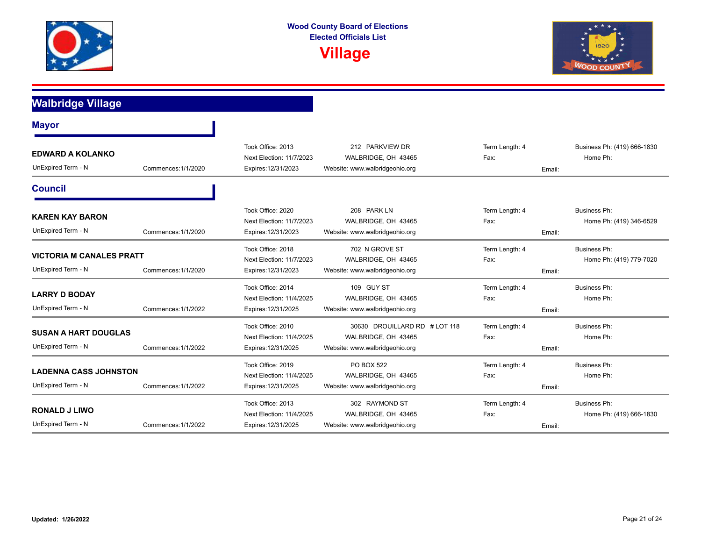



# **Walbridge Village**

| <b>Mayor</b>                                          |                     |                                                                      |                                                                                        |                        |        |                                                |
|-------------------------------------------------------|---------------------|----------------------------------------------------------------------|----------------------------------------------------------------------------------------|------------------------|--------|------------------------------------------------|
| <b>EDWARD A KOLANKO</b><br>UnExpired Term - N         | Commences: 1/1/2020 | Took Office: 2013<br>Next Election: 11/7/2023<br>Expires: 12/31/2023 | 212 PARKVIEW DR<br>WALBRIDGE, OH 43465<br>Website: www.walbridgeohio.org               | Term Length: 4<br>Fax: | Email: | Business Ph: (419) 666-1830<br>Home Ph:        |
| <b>Council</b>                                        |                     |                                                                      |                                                                                        |                        |        |                                                |
| <b>KAREN KAY BARON</b><br>UnExpired Term - N          | Commences: 1/1/2020 | Took Office: 2020<br>Next Election: 11/7/2023<br>Expires: 12/31/2023 | 208 PARK LN<br>WALBRIDGE, OH 43465<br>Website: www.walbridgeohio.org                   | Term Length: 4<br>Fax: | Email: | <b>Business Ph:</b><br>Home Ph: (419) 346-6529 |
| <b>VICTORIA M CANALES PRATT</b><br>UnExpired Term - N | Commences: 1/1/2020 | Took Office: 2018<br>Next Election: 11/7/2023<br>Expires: 12/31/2023 | 702 N GROVE ST<br>WALBRIDGE, OH 43465<br>Website: www.walbridgeohio.org                | Term Length: 4<br>Fax: | Email: | Business Ph:<br>Home Ph: (419) 779-7020        |
| <b>LARRY D BODAY</b><br>UnExpired Term - N            | Commences: 1/1/2022 | Took Office: 2014<br>Next Election: 11/4/2025<br>Expires: 12/31/2025 | 109 GUY ST<br>WALBRIDGE, OH 43465<br>Website: www.walbridgeohio.org                    | Term Length: 4<br>Fax: | Email: | <b>Business Ph:</b><br>Home Ph:                |
| <b>SUSAN A HART DOUGLAS</b><br>UnExpired Term - N     | Commences: 1/1/2022 | Took Office: 2010<br>Next Election: 11/4/2025<br>Expires: 12/31/2025 | 30630 DROUILLARD RD # LOT 118<br>WALBRIDGE, OH 43465<br>Website: www.walbridgeohio.org | Term Length: 4<br>Fax: | Email: | <b>Business Ph:</b><br>Home Ph:                |
| <b>LADENNA CASS JOHNSTON</b><br>UnExpired Term - N    | Commences: 1/1/2022 | Took Office: 2019<br>Next Election: 11/4/2025<br>Expires: 12/31/2025 | PO BOX 522<br>WALBRIDGE, OH 43465<br>Website: www.walbridgeohio.org                    | Term Length: 4<br>Fax: | Email: | <b>Business Ph:</b><br>Home Ph:                |
| <b>RONALD J LIWO</b><br>UnExpired Term - N            | Commences: 1/1/2022 | Took Office: 2013<br>Next Election: 11/4/2025<br>Expires: 12/31/2025 | 302 RAYMOND ST<br>WALBRIDGE, OH 43465<br>Website: www.walbridgeohio.org                | Term Length: 4<br>Fax: | Email: | <b>Business Ph:</b><br>Home Ph: (419) 666-1830 |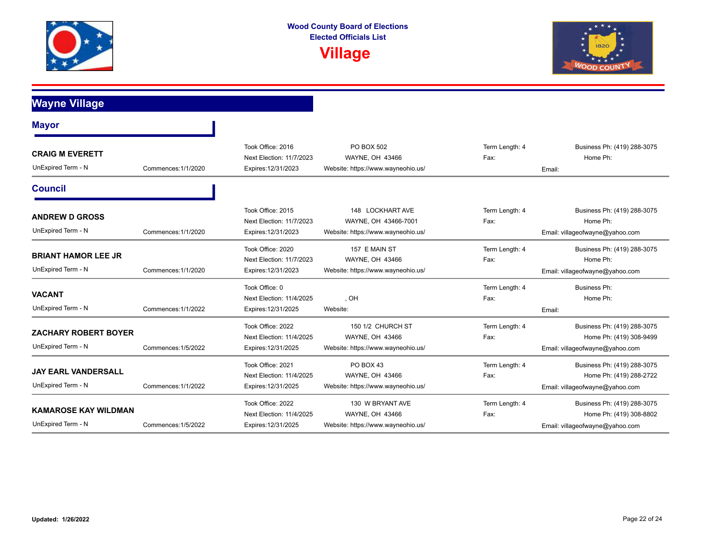



**Wayne Village**

| <b>Mayor</b>                                                             |                     |                                                                      |                                                                                |                        |                                                                                           |
|--------------------------------------------------------------------------|---------------------|----------------------------------------------------------------------|--------------------------------------------------------------------------------|------------------------|-------------------------------------------------------------------------------------------|
| <b>CRAIG M EVERETT</b><br>UnExpired Term - N                             | Commences: 1/1/2020 | Took Office: 2016<br>Next Election: 11/7/2023<br>Expires: 12/31/2023 | PO BOX 502<br>WAYNE, OH 43466<br>Website: https://www.wayneohio.us/            | Term Length: 4<br>Fax: | Business Ph: (419) 288-3075<br>Home Ph:<br>Email:                                         |
| <b>Council</b>                                                           |                     |                                                                      |                                                                                |                        |                                                                                           |
| <b>ANDREW D GROSS</b><br>UnExpired Term - N                              | Commences: 1/1/2020 | Took Office: 2015<br>Next Election: 11/7/2023<br>Expires: 12/31/2023 | 148 LOCKHART AVE<br>WAYNE, OH 43466-7001<br>Website: https://www.wayneohio.us/ | Term Length: 4<br>Fax: | Business Ph: (419) 288-3075<br>Home Ph:<br>Email: villageofwayne@yahoo.com                |
| <b>BRIANT HAMOR LEE JR</b><br>UnExpired Term - N                         | Commences: 1/1/2020 | Took Office: 2020<br>Next Election: 11/7/2023<br>Expires: 12/31/2023 | 157 E MAIN ST<br>WAYNE, OH 43466<br>Website: https://www.wayneohio.us/         | Term Length: 4<br>Fax: | Business Ph: (419) 288-3075<br>Home Ph:<br>Email: villageofwayne@yahoo.com                |
| <b>VACANT</b><br>UnExpired Term - N                                      | Commences: 1/1/2022 | Took Office: 0<br>Next Election: 11/4/2025<br>Expires: 12/31/2025    | , OH<br>Website:                                                               | Term Length: 4<br>Fax: | <b>Business Ph:</b><br>Home Ph:<br>Email:                                                 |
| <b>ZACHARY ROBERT BOYER</b><br>UnExpired Term - N                        | Commences: 1/5/2022 | Took Office: 2022<br>Next Election: 11/4/2025<br>Expires: 12/31/2025 | 150 1/2 CHURCH ST<br>WAYNE, OH 43466<br>Website: https://www.wayneohio.us/     | Term Length: 4<br>Fax: | Business Ph: (419) 288-3075<br>Home Ph: (419) 308-9499<br>Email: villageofwayne@yahoo.com |
| <b>JAY EARL VANDERSALL</b><br>UnExpired Term - N                         | Commences: 1/1/2022 | Took Office: 2021<br>Next Election: 11/4/2025<br>Expires: 12/31/2025 | PO BOX 43<br>WAYNE, OH 43466<br>Website: https://www.wayneohio.us/             | Term Length: 4<br>Fax: | Business Ph: (419) 288-3075<br>Home Ph: (419) 288-2722<br>Email: villageofwayne@yahoo.com |
| <b>KAMAROSE KAY WILDMAN</b><br>UnExpired Term - N<br>Commences: 1/5/2022 |                     | Took Office: 2022<br>Next Election: 11/4/2025<br>Expires: 12/31/2025 | 130 W BRYANT AVE<br>WAYNE, OH 43466<br>Website: https://www.wayneohio.us/      | Term Length: 4<br>Fax: | Business Ph: (419) 288-3075<br>Home Ph: (419) 308-8802<br>Email: villageofwayne@yahoo.com |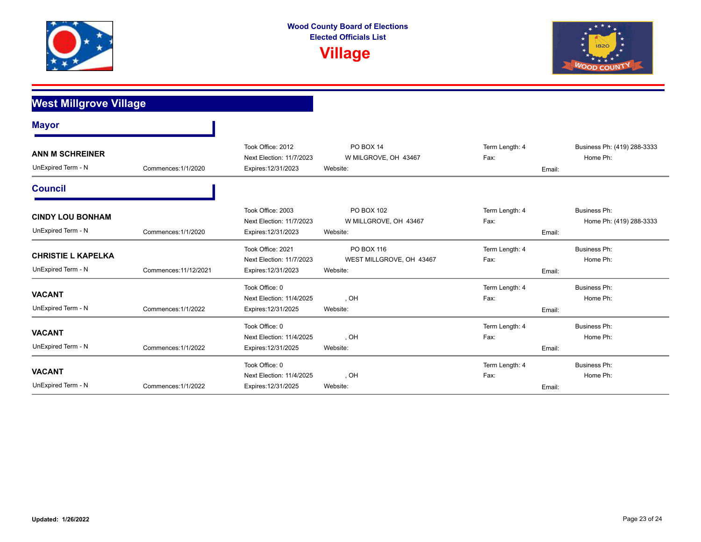



| <b>West Millgrove Village</b>                   |                       |                                                                      |                                                    |                                  |                                         |
|-------------------------------------------------|-----------------------|----------------------------------------------------------------------|----------------------------------------------------|----------------------------------|-----------------------------------------|
| <b>Mayor</b>                                    |                       |                                                                      |                                                    |                                  |                                         |
| <b>ANN M SCHREINER</b><br>UnExpired Term - N    | Commences: 1/1/2020   | Took Office: 2012<br>Next Election: 11/7/2023<br>Expires: 12/31/2023 | PO BOX 14<br>W MILGROVE, OH 43467<br>Website:      | Term Length: 4<br>Fax:<br>Email: | Business Ph: (419) 288-3333<br>Home Ph: |
| <b>Council</b>                                  |                       |                                                                      |                                                    |                                  |                                         |
| <b>CINDY LOU BONHAM</b><br>UnExpired Term - N   | Commences: 1/1/2020   | Took Office: 2003<br>Next Election: 11/7/2023<br>Expires: 12/31/2023 | PO BOX 102<br>W MILLGROVE, OH 43467<br>Website:    | Term Length: 4<br>Fax:<br>Email: | Business Ph:<br>Home Ph: (419) 288-3333 |
| <b>CHRISTIE L KAPELKA</b><br>UnExpired Term - N | Commences: 11/12/2021 | Took Office: 2021<br>Next Election: 11/7/2023<br>Expires: 12/31/2023 | PO BOX 116<br>WEST MILLGROVE, OH 43467<br>Website: | Term Length: 4<br>Fax:<br>Email: | <b>Business Ph:</b><br>Home Ph:         |
| <b>VACANT</b><br>UnExpired Term - N             | Commences: 1/1/2022   | Took Office: 0<br>Next Election: 11/4/2025<br>Expires: 12/31/2025    | , OH<br>Website:                                   | Term Length: 4<br>Fax:<br>Email: | Business Ph:<br>Home Ph:                |
| <b>VACANT</b><br>UnExpired Term - N             | Commences: 1/1/2022   | Took Office: 0<br>Next Election: 11/4/2025<br>Expires: 12/31/2025    | , OH<br>Website:                                   | Term Length: 4<br>Fax:<br>Email: | <b>Business Ph:</b><br>Home Ph:         |
| <b>VACANT</b><br>UnExpired Term - N             | Commences: 1/1/2022   | Took Office: 0<br>Next Election: 11/4/2025<br>Expires: 12/31/2025    | , OH<br>Website:                                   | Term Length: 4<br>Fax:<br>Email: | <b>Business Ph:</b><br>Home Ph:         |